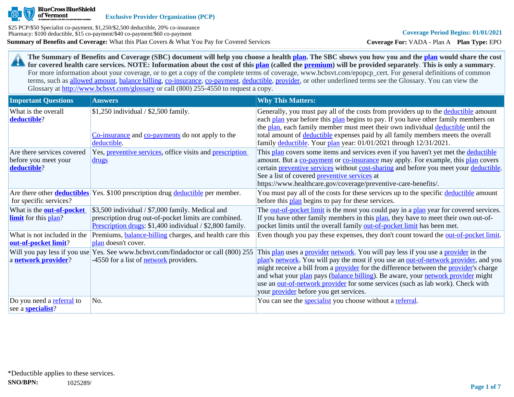

**Exclusive Provider Organization (PCP)**

**Summary of Benefits and Coverage:** What this Plan Covers & What You Pay for Covered Services \$25 PCP/\$50 Specialist co-payment, \$1,250/\$2,500 deductible, 20% co-insurance Pharmacy: \$100 deductible, \$15 co-payment/\$40 co-payment/\$60 co-payment

**Coverage For:** VADA - Plan A **Plan Type:** EPO

**The Summary of Benefits and Coverage (SBC) document will help you choose a health [plan](https://www.healthcare.gov/sbc-glossary/#plan). The SBC shows you how you and the [plan](https://www.healthcare.gov/sbc-glossary/#plan) would share the cost**  29 **for covered health care services. NOTE: Information about the cost of this [plan](https://www.healthcare.gov/sbc-glossary/#plan) (called the [premium](https://www.healthcare.gov/sbc-glossary/#premium)) will be provided separately**. **This is only a summary**. For more information about your coverage, or to get a copy of the complete terms of coverage, www.bcbsvt.com/epopcp\_cert. For general definitions of common terms, such as [allowed amount](https://www.healthcare.gov/sbc-glossary/#allowed-amount), [balance billing,](https://www.healthcare.gov/sbc-glossary/#balance-billing) [co-insurance,](https://www.healthcare.gov/sbc-glossary/#coinsurance) [co-payment,](https://www.healthcare.gov/sbc-glossary/#copayment) [deductible](https://www.healthcare.gov/sbc-glossary/#deductible), [provider,](https://www.healthcare.gov/sbc-glossary/#provider) or other underlined terms see the Glossary. You can view the Glossary at <http://www.bcbsvt.com/glossary>or call (800) 255-4550 to request a copy.

| <b>Important Questions</b>                                        | <b>Answers</b>                                                                                                                                                       | <b>Why This Matters:</b>                                                                                                                                                                                                                                                                                                                                                                                                                                                                                  |
|-------------------------------------------------------------------|----------------------------------------------------------------------------------------------------------------------------------------------------------------------|-----------------------------------------------------------------------------------------------------------------------------------------------------------------------------------------------------------------------------------------------------------------------------------------------------------------------------------------------------------------------------------------------------------------------------------------------------------------------------------------------------------|
| What is the overall<br>deductible?                                | $$1,250$ individual / \$2,500 family.<br>Co-insurance and co-payments do not apply to the<br>deductible.                                                             | Generally, you must pay all of the costs from providers up to the deductible amount<br>each plan year before this plan begins to pay. If you have other family members on<br>the plan, each family member must meet their own individual deductible until the<br>total amount of deductible expenses paid by all family members meets the overall<br>family deductible. Your plan year: 01/01/2021 through 12/31/2021.                                                                                    |
| Are there services covered<br>before you meet your<br>deductible? | Yes, <i>preventive services</i> , office visits and <i>prescription</i><br><u>drugs</u>                                                                              | This plan covers some items and services even if you haven't yet met the deductible<br>amount. But a co-payment or co-insurance may apply. For example, this plan covers<br>certain preventive services without cost-sharing and before you meet your deductible.<br>See a list of covered <b>preventive services</b> at<br>https://www.healthcare.gov/coverage/preventive-care-benefits/.                                                                                                                |
| for specific services?                                            | Are there other <b>deductibles</b> Yes. \$100 prescription drug deductible per member.                                                                               | You must pay all of the costs for these services up to the specific deductible amount<br>before this plan begins to pay for these services.                                                                                                                                                                                                                                                                                                                                                               |
| What is the <b>out-of-pocket</b><br><b>limit</b> for this plan?   | \$3,500 individual / \$7,000 family. Medical and<br>prescription drug out-of-pocket limits are combined.<br>Prescription drugs: \$1,400 individual / \$2,800 family. | The out-of-pocket limit is the most you could pay in a plan year for covered services.<br>If you have other family members in this plan, they have to meet their own out-of-<br>pocket limits until the overall family out-of-pocket limit has been met.                                                                                                                                                                                                                                                  |
| What is not included in the<br>out-of-pocket limit?               | Premiums, <b>balance-billing</b> charges, and health care this<br>plan doesn't cover.                                                                                | Even though you pay these expenses, they don't count toward the <u>out-of-pocket limit</u> .                                                                                                                                                                                                                                                                                                                                                                                                              |
| a network provider?                                               | Will you pay less if you use Yes. See www.bcbsvt.com/findadoctor or call (800) 255<br>-4550 for a list of <b>network</b> providers.                                  | This plan uses a provider network. You will pay less if you use a provider in the<br>plan's network. You will pay the most if you use an out-of-network provider, and you<br>might receive a bill from a <b>provider</b> for the difference between the <b>provider</b> 's charge<br>and what your plan pays (balance billing). Be aware, your network provider might<br>use an out-of-network provider for some services (such as lab work). Check with<br>your <i>provider</i> before you get services. |
| Do you need a referral to<br>see a <b>specialist</b> ?            | No.                                                                                                                                                                  | You can see the specialist you choose without a referral.                                                                                                                                                                                                                                                                                                                                                                                                                                                 |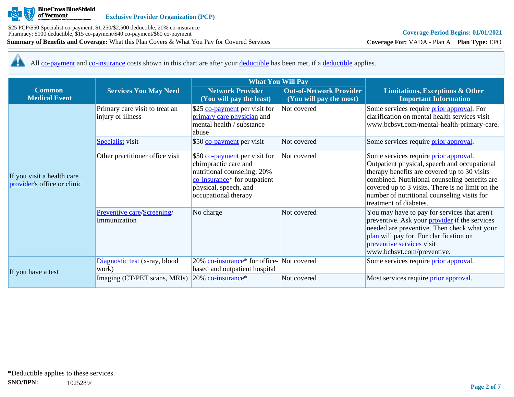

**Coverage For:** VADA - Plan A **Plan Type:** EPO

All [co-payment](https://www.healthcare.gov/sbc-glossary/#copayment) and [co-insurance](https://www.healthcare.gov/sbc-glossary/#coinsurance) costs shown in this chart are after your [deductible](https://www.healthcare.gov/sbc-glossary/#deductible) has been met, if a [deductible](https://www.healthcare.gov/sbc-glossary/#deductible) applies. 44

|                                                           |                                                     | <b>What You Will Pay</b>                                                                                                                                                           |                                                           |                                                                                                                                                                                                                                                                                                                     |  |
|-----------------------------------------------------------|-----------------------------------------------------|------------------------------------------------------------------------------------------------------------------------------------------------------------------------------------|-----------------------------------------------------------|---------------------------------------------------------------------------------------------------------------------------------------------------------------------------------------------------------------------------------------------------------------------------------------------------------------------|--|
| <b>Common</b><br><b>Medical Event</b>                     | <b>Services You May Need</b>                        | <b>Network Provider</b><br>(You will pay the least)                                                                                                                                | <b>Out-of-Network Provider</b><br>(You will pay the most) | <b>Limitations, Exceptions &amp; Other</b><br><b>Important Information</b>                                                                                                                                                                                                                                          |  |
|                                                           | Primary care visit to treat an<br>injury or illness | \$25 co-payment per visit for<br>primary care physician and<br>mental health / substance<br>abuse                                                                                  | Not covered                                               | Some services require <i>prior</i> approval. For<br>clarification on mental health services visit<br>www.bcbsvt.com/mental-health-primary-care.                                                                                                                                                                     |  |
|                                                           | <b>Specialist</b> visit                             | \$50 co-payment per visit                                                                                                                                                          | Not covered                                               | Some services require <i>prior approval</i> .                                                                                                                                                                                                                                                                       |  |
| If you visit a health care<br>provider's office or clinic | Other practitioner office visit                     | \$50 co-payment per visit for<br>chiropractic care and<br>nutritional counseling; 20%<br>co-insurance <sup>*</sup> for outpatient<br>physical, speech, and<br>occupational therapy | Not covered                                               | Some services require prior approval.<br>Outpatient physical, speech and occupational<br>therapy benefits are covered up to 30 visits<br>combined. Nutritional counseling benefits are<br>covered up to 3 visits. There is no limit on the<br>number of nutritional counseling visits for<br>treatment of diabetes. |  |
|                                                           | Preventive care/Screening/<br>Immunization          | No charge                                                                                                                                                                          | Not covered                                               | You may have to pay for services that aren't<br>preventive. Ask your <b>provider</b> if the services<br>needed are preventive. Then check what your<br>plan will pay for. For clarification on<br>preventive services visit<br>www.bcbsvt.com/preventive.                                                           |  |
|                                                           | Diagnostic test (x-ray, blood<br>work)              | 20% co-insurance <sup>*</sup> for office-Not covered<br>based and outpatient hospital                                                                                              |                                                           | Some services require <i>prior approval</i> .                                                                                                                                                                                                                                                                       |  |
| If you have a test                                        | Imaging (CT/PET scans, MRIs)                        | 20% co-insurance*                                                                                                                                                                  | Not covered                                               | Most services require <i>prior approval</i> .                                                                                                                                                                                                                                                                       |  |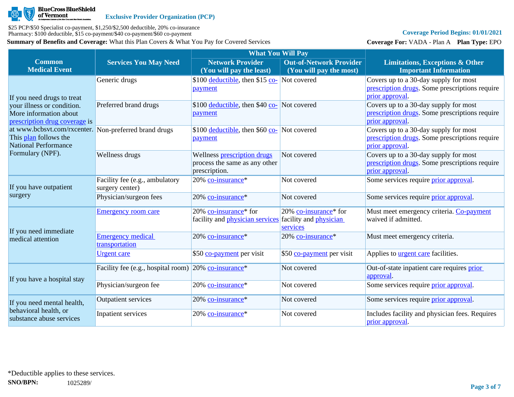

# **Coverage Period Begins: 01/01/2021**

**Coverage For:** VADA - Plan A **Plan Type:** EPO

|                                                                                                                                   |                                                                     | <b>What You Will Pay</b>                                                      |                                                                    |                                                                                                            |
|-----------------------------------------------------------------------------------------------------------------------------------|---------------------------------------------------------------------|-------------------------------------------------------------------------------|--------------------------------------------------------------------|------------------------------------------------------------------------------------------------------------|
| <b>Common</b><br><b>Medical Event</b>                                                                                             | <b>Services You May Need</b>                                        | <b>Network Provider</b><br>(You will pay the least)                           | <b>Out-of-Network Provider</b><br>(You will pay the most)          | <b>Limitations, Exceptions &amp; Other</b><br><b>Important Information</b>                                 |
| If you need drugs to treat                                                                                                        | Generic drugs                                                       | \$100 deductible, then \$15 co- Not covered<br>payment                        |                                                                    | Covers up to a 30-day supply for most<br>prescription drugs. Some prescriptions require<br>prior approval. |
| your illness or condition.<br>More information about<br>prescription drug coverage is                                             | Preferred brand drugs                                               | \$100 <u>deductible</u> , then \$40 <u>co-</u> Not covered<br>payment         |                                                                    | Covers up to a 30-day supply for most<br>prescription drugs. Some prescriptions require<br>prior approval  |
| at www.bcbsvt.com/rxcenter. Non-preferred brand drugs<br>This plan follows the<br><b>National Performance</b><br>Formulary (NPF). |                                                                     | \$100 <u>deductible</u> , then \$60 co- Not covered<br>payment                |                                                                    | Covers up to a 30-day supply for most<br>prescription drugs. Some prescriptions require<br>prior approval. |
|                                                                                                                                   | Wellness drugs                                                      | Wellness prescription drugs<br>process the same as any other<br>prescription. | Not covered                                                        | Covers up to a 30-day supply for most<br>prescription drugs. Some prescriptions require<br>prior approval. |
| If you have outpatient                                                                                                            | Facility fee (e.g., ambulatory<br>surgery center)                   | 20% co-insurance*                                                             | Not covered                                                        | Some services require <i>prior</i> approval.                                                               |
| surgery                                                                                                                           | Physician/surgeon fees                                              | 20% co-insurance*                                                             | Not covered                                                        | Some services require <i>prior approval</i> .                                                              |
|                                                                                                                                   | <b>Emergency room care</b>                                          | 20% co-insurance <sup>*</sup> for<br>facility and <i>physician services</i>   | 20% co-insurance* for<br>facility and <i>physician</i><br>services | Must meet emergency criteria. Co-payment<br>waived if admitted.                                            |
| If you need immediate<br>medical attention                                                                                        | <b>Emergency medical</b><br>transportation                          | 20% co-insurance*                                                             | 20% co-insurance*                                                  | Must meet emergency criteria.                                                                              |
|                                                                                                                                   | <b>Urgent care</b>                                                  | \$50 co-payment per visit                                                     | \$50 co-payment per visit                                          | Applies to <b>urgent care</b> facilities.                                                                  |
| If you have a hospital stay                                                                                                       | Facility fee (e.g., hospital room) $20\%$ co-insurance <sup>*</sup> |                                                                               | Not covered                                                        | Out-of-state inpatient care requires prior<br>approval.                                                    |
|                                                                                                                                   | Physician/surgeon fee                                               | 20% co-insurance*                                                             | Not covered                                                        | Some services require prior approval.                                                                      |
| If you need mental health,<br>behavioral health, or<br>substance abuse services                                                   | <b>Outpatient services</b>                                          | 20% co-insurance*                                                             | Not covered                                                        | Some services require <i>prior approval</i> .                                                              |
|                                                                                                                                   | Inpatient services                                                  | 20% co-insurance*                                                             | Not covered                                                        | Includes facility and physician fees. Requires<br>prior approval.                                          |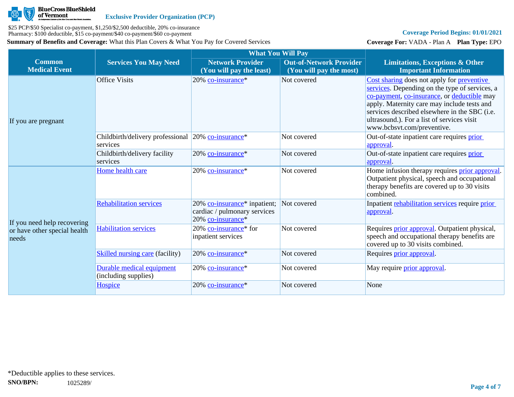

# **Coverage Period Begins: 01/01/2021**

**Coverage For:** VADA - Plan A **Plan Type:** EPO

|                                                                      |                                                                | <b>What You Will Pay</b>                                                                      |                                                           |                                                                                                                                                                                                                                                                                                                         |
|----------------------------------------------------------------------|----------------------------------------------------------------|-----------------------------------------------------------------------------------------------|-----------------------------------------------------------|-------------------------------------------------------------------------------------------------------------------------------------------------------------------------------------------------------------------------------------------------------------------------------------------------------------------------|
| <b>Common</b><br><b>Medical Event</b>                                | <b>Services You May Need</b>                                   | <b>Network Provider</b><br>(You will pay the least)                                           | <b>Out-of-Network Provider</b><br>(You will pay the most) | <b>Limitations, Exceptions &amp; Other</b><br><b>Important Information</b>                                                                                                                                                                                                                                              |
| If you are pregnant                                                  | <b>Office Visits</b>                                           | 20% co-insurance*                                                                             | Not covered                                               | Cost sharing does not apply for preventive<br>services. Depending on the type of services, a<br>co-payment, co-insurance, or deductible may<br>apply. Maternity care may include tests and<br>services described elsewhere in the SBC (i.e.<br>ultrasound.). For a list of services visit<br>www.bcbsvt.com/preventive. |
|                                                                      | Childbirth/delivery professional 20% co-insurance*<br>services |                                                                                               | Not covered                                               | Out-of-state inpatient care requires prior<br>approval.                                                                                                                                                                                                                                                                 |
|                                                                      | Childbirth/delivery facility<br>services                       | 20% co-insurance*                                                                             | Not covered                                               | Out-of-state inpatient care requires prior<br>approval.                                                                                                                                                                                                                                                                 |
| If you need help recovering<br>or have other special health<br>needs | Home health care                                               | 20% co-insurance*                                                                             | Not covered                                               | Home infusion therapy requires <b>prior approval</b> .<br>Outpatient physical, speech and occupational<br>therapy benefits are covered up to 30 visits<br>combined.                                                                                                                                                     |
|                                                                      | <b>Rehabilitation services</b>                                 | 20% co-insurance <sup>*</sup> inpatient;<br>cardiac / pulmonary services<br>20% co-insurance* | Not covered                                               | Inpatient rehabilitation services require prior<br>approval.                                                                                                                                                                                                                                                            |
|                                                                      | <b>Habilitation services</b>                                   | 20% co-insurance* for<br>inpatient services                                                   | Not covered                                               | Requires <i>prior approval</i> . Outpatient physical,<br>speech and occupational therapy benefits are<br>covered up to 30 visits combined.                                                                                                                                                                              |
|                                                                      | <b>Skilled nursing care (facility)</b>                         | 20% co-insurance*                                                                             | Not covered                                               | Requires prior approval.                                                                                                                                                                                                                                                                                                |
|                                                                      | Durable medical equipment<br>(including supplies)              | 20% co-insurance*                                                                             | Not covered                                               | May require <i>prior approval</i> .                                                                                                                                                                                                                                                                                     |
|                                                                      | <b>Hospice</b>                                                 | 20% co-insurance*                                                                             | Not covered                                               | None                                                                                                                                                                                                                                                                                                                    |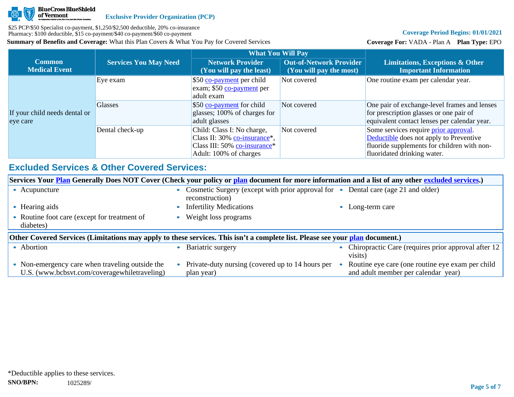

# **Coverage Period Begins: 01/01/2021**

**Coverage For:** VADA - Plan A **Plan Type:** EPO

|                                           |                              | <b>What You Will Pay</b>                                                                                             |                                                           |                                                                                                                                                                       |
|-------------------------------------------|------------------------------|----------------------------------------------------------------------------------------------------------------------|-----------------------------------------------------------|-----------------------------------------------------------------------------------------------------------------------------------------------------------------------|
| <b>Common</b><br><b>Medical Event</b>     | <b>Services You May Need</b> | <b>Network Provider</b><br>(You will pay the least)                                                                  | <b>Out-of-Network Provider</b><br>(You will pay the most) | <b>Limitations, Exceptions &amp; Other</b><br><b>Important Information</b>                                                                                            |
|                                           | Eye exam                     | \$50 co-payment per child<br>exam; \$50 co-payment per<br>adult exam                                                 | Not covered                                               | One routine exam per calendar year.                                                                                                                                   |
| If your child needs dental or<br>eye care | <b>Glasses</b>               | \$50 co-payment for child<br>glasses; 100% of charges for<br>adult glasses                                           | Not covered                                               | One pair of exchange-level frames and lenses<br>for prescription glasses or one pair of<br>equivalent contact lenses per calendar year.                               |
|                                           | Dental check-up              | Child: Class I: No charge,<br>Class II: 30% co-insurance*,<br>Class III: 50% co-insurance*<br>Adult: 100% of charges | Not covered                                               | Some services require <i>prior</i> approval.<br>Deductible does not apply to Preventive<br>fluoride supplements for children with non-<br>fluoridated drinking water. |

# **Excluded Services & Other Covered Services:**

| Services Your <b>Plan</b> Generally Does NOT Cover (Check your policy or plan document for more information and a list of any other excluded services.) |                                                                                                                   |                                                                |  |  |  |  |
|---------------------------------------------------------------------------------------------------------------------------------------------------------|-------------------------------------------------------------------------------------------------------------------|----------------------------------------------------------------|--|--|--|--|
| • Acupuncture                                                                                                                                           | Cosmetic Surgery (except with prior approval for • Dental care (age 21 and older)<br>$\bullet$<br>reconstruction) |                                                                |  |  |  |  |
| Hearing aids                                                                                                                                            | <b>Infertility Medications</b>                                                                                    | Long-term care                                                 |  |  |  |  |
| Routine foot care (except for treatment of<br>diabetes)                                                                                                 | Weight loss programs                                                                                              |                                                                |  |  |  |  |
| Other Covered Services (Limitations may apply to these services. This isn't a complete list. Please see your plan document.)                            |                                                                                                                   |                                                                |  |  |  |  |
| • Abortion                                                                                                                                              |                                                                                                                   |                                                                |  |  |  |  |
|                                                                                                                                                         | Bariatric surgery                                                                                                 | Chiropractic Care (requires prior approval after 12<br>visits) |  |  |  |  |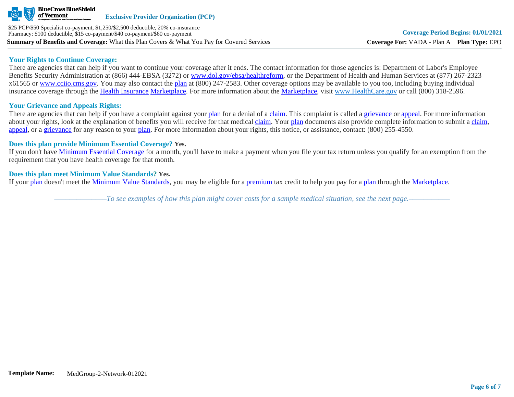

#### **Your Rights to Continue Coverage:**

There are agencies that can help if you want to continue your coverage after it ends. The contact information for those agencies is: Department of Labor's Employee Benefits Security Administration at (866) 444-EBSA (3272) or [www.dol.gov/ebsa/healthreform](http://www.dol.gov/ebsa/healthreform), or the Department of Health and Human Services at (877) 267-2323 x61565 or [www.cciio.cms.gov](http://www.cciio.cms.gov/). You may also contact the [plan](https://www.healthcare.gov/sbc-glossary/#plan) at (800) 247-2583. Other coverage options may be available to you too, including buying individual insurance coverage through the [Health Insurance](https://www.healthcare.gov/sbc-glossary/#health-insurance) [Marketplace.](https://www.healthcare.gov/sbc-glossary/#marketplace) For more information about the [Marketplace,](https://www.healthcare.gov/sbc-glossary/#marketplace) visit [www.HealthCare.gov](http://www.healthcare.gov/) or call (800) 318-2596.

# **Your Grievance and Appeals Rights:**

There are agencies that can help if you have a complaint against your [plan](https://www.healthcare.gov/sbc-glossary/#plan) for a denial of a [claim.](https://www.healthcare.gov/sbc-glossary/#claim) This complaint is called a [grievance](https://www.healthcare.gov/sbc-glossary/#grievance) or [appeal](https://www.healthcare.gov/sbc-glossary/#appeal). For more information about your rights, look at the explanation of benefits you will receive for that medical [claim](https://www.healthcare.gov/sbc-glossary/#claim). Your [plan](https://www.healthcare.gov/sbc-glossary/#plan) documents also provide complete information to submit a [claim](https://www.healthcare.gov/sbc-glossary/#claim), [appeal](https://www.healthcare.gov/sbc-glossary/#appeal), or a [grievance](https://www.healthcare.gov/sbc-glossary/#grievance) for any reason to your [plan.](https://www.healthcare.gov/sbc-glossary/#plan) For more information about your rights, this notice, or assistance, contact: (800) 255-4550.

#### **Does this plan provide Minimum Essential Coverage? Yes.**

If you don't have [Minimum Essential Coverage](https://www.healthcare.gov/sbc-glossary/#minimum-essential-coverage) for a month, you'll have to make a payment when you file your tax return unless you qualify for an exemption from the requirement that you have health coverage for that month.

### **Does this plan meet Minimum Value Standards? Yes.**

If your [plan](https://www.healthcare.gov/sbc-glossary/#plan) doesn't meet the [Minimum Value Standards](https://www.healthcare.gov/sbc-glossary/#minimum-value-standard), you may be eligible for a [premium](https://www.healthcare.gov/sbc-glossary/#premium) tax credit to help you pay for a [plan](https://www.healthcare.gov/sbc-glossary/#plan) through the [Marketplace](https://www.healthcare.gov/sbc-glossary/#marketplace).

*––––––––––––––To see examples of how this plan might cover costs for a sample medical situation, see the next page.–––––––––––*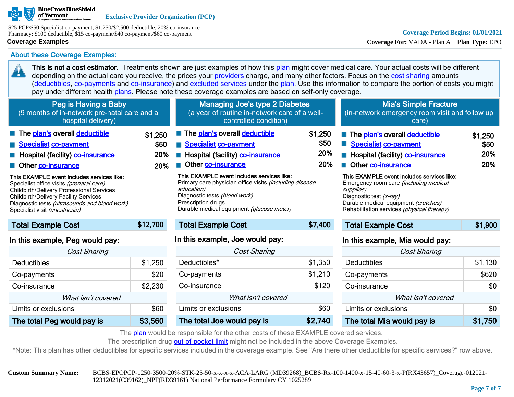

\$25 PCP/\$50 Specialist co-payment, \$1,250/\$2,500 deductible, 20% co-insurance Pharmacy: \$100 deductible, \$15 co-payment/\$40 co-payment/\$60 co-payment

#### **Coverage Examples**

45

**Coverage For:** VADA - Plan A **Plan Type:** EPO

About these Coverage Examples:

This is not a cost estimator. Treatments shown are just examples of how this [plan](https://www.healthcare.gov/sbc-glossary/#plan) might cover medical care. Your actual costs will be different depending on the actual care you receive, the prices your [providers](https://www.healthcare.gov/sbc-glossary/#provider) charge, and many other factors. Focus on the [cost sharing](https://www.healthcare.gov/sbc-glossary/#cost-sharing) amounts ([deductibles,](https://www.healthcare.gov/sbc-glossary/#deductible) [co-payments](https://www.healthcare.gov/sbc-glossary/#co-payment) and [co-insurance\)](https://www.healthcare.gov/sbc-glossary/#co-insurance) and [excluded services](https://www.healthcare.gov/sbc-glossary/#excluded-services) under the [plan](https://www.healthcare.gov/sbc-glossary/#plan). Use this information to compare the portion of costs you might pay under different health [plans.](https://www.healthcare.gov/sbc-glossary/#plan) Please note these coverage examples are based on self-only coverage.

| Peg is Having a Baby<br>(9 months of in-network pre-natal care and a<br>hospital delivery)                                                                                                                                                                                   |                               | <b>Managing Joe's type 2 Diabetes</b><br>(a year of routine in-network care of a well-<br>controlled condition)                                                                                                                |                               | <b>Mia's Simple Fracture</b><br>(in-network emergency room visit and follow up<br>care)                                                                                                                                   |                               |
|------------------------------------------------------------------------------------------------------------------------------------------------------------------------------------------------------------------------------------------------------------------------------|-------------------------------|--------------------------------------------------------------------------------------------------------------------------------------------------------------------------------------------------------------------------------|-------------------------------|---------------------------------------------------------------------------------------------------------------------------------------------------------------------------------------------------------------------------|-------------------------------|
| The plan's overall deductible<br>Specialist co-payment<br>Hospital (facility) co-insurance<br>Other co-insurance                                                                                                                                                             | \$1,250<br>\$50<br>20%<br>20% | The plan's overall deductible<br>Specialist co-payment<br>Hospital (facility) co-insurance<br>Other co-insurance                                                                                                               | \$1,250<br>\$50<br>20%<br>20% | The plan's overall deductible<br>Specialist co-payment<br>Hospital (facility) co-insurance<br>Other co-insurance                                                                                                          | \$1,250<br>\$50<br>20%<br>20% |
| This EXAMPLE event includes services like:<br>Specialist office visits (prenatal care)<br><b>Childbirth/Delivery Professional Services</b><br><b>Childbirth/Delivery Facility Services</b><br>Diagnostic tests (ultrasounds and blood work)<br>Specialist visit (anesthesia) |                               | This EXAMPLE event includes services like:<br>Primary care physician office visits <i>(including disease</i><br>education)<br>Diagnostic tests (blood work)<br>Prescription drugs<br>Durable medical equipment (glucose meter) |                               | This EXAMPLE event includes services like:<br>Emergency room care <i>(including medical</i><br>supplies)<br>Diagnostic test (x-ray)<br>Durable medical equipment (crutches)<br>Rehabilitation services (physical therapy) |                               |
| <b>Total Example Cost</b>                                                                                                                                                                                                                                                    | \$12,700                      | <b>Total Example Cost</b>                                                                                                                                                                                                      | \$7,400                       | <b>Total Example Cost</b>                                                                                                                                                                                                 | \$1,900                       |
| In this example, Peg would pay:                                                                                                                                                                                                                                              |                               | In this example, Joe would pay:                                                                                                                                                                                                |                               | In this example, Mia would pay:                                                                                                                                                                                           |                               |
| Cost Sharing                                                                                                                                                                                                                                                                 |                               | <b>Cost Sharing</b>                                                                                                                                                                                                            |                               | <b>Cost Sharing</b>                                                                                                                                                                                                       |                               |
| <b>Deductibles</b>                                                                                                                                                                                                                                                           | \$1,250                       | Deductibles*                                                                                                                                                                                                                   | \$1,350                       | Deductibles                                                                                                                                                                                                               | \$1,130                       |
| Co-payments                                                                                                                                                                                                                                                                  | \$20                          | Co-payments                                                                                                                                                                                                                    | \$1,210                       | Co-payments                                                                                                                                                                                                               | \$620                         |

| Co-insurance               | \$2.230 | Co- |  |
|----------------------------|---------|-----|--|
| What isn't covered         |         |     |  |
| Limits or exclusions       | \$60    | Lim |  |
| The total Peg would pay is | \$3,560 | The |  |

| <b>Cost Sharing</b>        |         |
|----------------------------|---------|
| Deductibles <sup>*</sup>   | \$1,350 |
| Co-payments                | \$1,210 |
| Co-insurance               | \$120   |
| What isn't covered         |         |
| Limits or exclusions       | \$60    |
| The total Joe would pay is | \$2,740 |

| The total Mia would pay is | \$1,750 |
|----------------------------|---------|
| Limits or exclusions       | \$0     |
| What isn't covered         |         |
| Co-insurance               | \$0     |
|                            |         |

The [plan](https://www.healthcare.gov/sbc-glossary/#plan) would be responsible for the other costs of these EXAMPLE covered services.

The prescription drug [out-of-pocket limit](https://www.healthcare.gov/sbc-glossary/#out-of-pocket-limit) might not be included in the above Coverage Examples.

\*Note: This plan has other deductibles for specific services included in the coverage example. See "Are there other deductible for specific services?" row above.

**Custom Summary Name:** BCBS-EPOPCP-1250-3500-20%-STK-25-50-x-x-x-x-ACA-LARG (MD39268)\_BCBS-Rx-100-1400-x-15-40-60-3-x-P(RX43657)\_Coverage-012021- 12312021(C39162)\_NPF(RD39161) National Performance Formulary CY 1025289